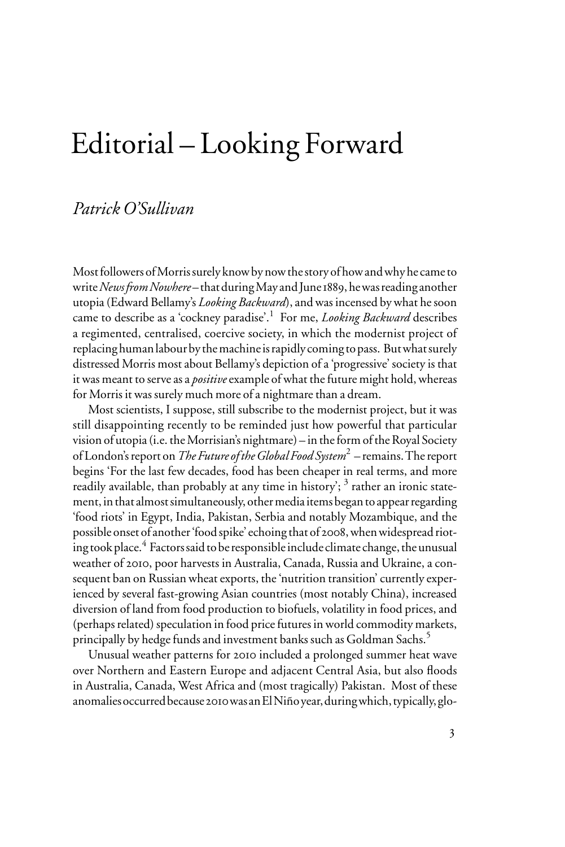## Editorial – Looking Forward

## *Patrick O'Sullivan*

Most followers of Morris surely know by now the story of how and why he came to write *News from Nowhere* – that during May and June 1889, he was reading another utopia (Edward Bellamy's *Looking Backward*), and was incensed by what he soon came to describe as a 'cockney paradise'.<sup>1</sup> For me, *Looking Backward* describes a regimented, centralised, coercive society, in which the modernist project of replacing human labour by the machine is rapidly coming to pass. But what surely distressed Morris most about Bellamy's depiction of a 'progressive' society is that it was meant to serve as a *positive* example of what the future might hold, whereas for Morris it was surely much more of a nightmare than a dream.

Most scientists, I suppose, still subscribe to the modernist project, but it was still disappointing recently to be reminded just how powerful that particular vision of utopia (i.e. the Morrisian's nightmare) – in the form of the Royal Society of London's report on *The Future of the Global Food System*<sup>2</sup> – remains. The report begins 'For the last few decades, food has been cheaper in real terms, and more readily available, than probably at any time in history'; <sup>3</sup> rather an ironic statement, in that almost simultaneously, other media items began to appear regarding 'food riots' in Egypt, India, Pakistan, Serbia and notably Mozambique, and the possible onset of another 'food spike' echoing that of 2008, when widespread rioting took place.<sup>4</sup> Factors said to be responsible include climate change, the unusual weather of 2010, poor harvests in Australia, Canada, Russia and Ukraine, a consequent ban on Russian wheat exports, the 'nutrition transition' currently experienced by several fast-growing Asian countries (most notably China), increased diversion of land from food production to biofuels, volatility in food prices, and (perhaps related) speculation in food price futures in world commodity markets, principally by hedge funds and investment banks such as Goldman Sachs.5

Unusual weather patterns for 2010 included a prolonged summer heat wave over Northern and Eastern Europe and adjacent Central Asia, but also floods in Australia, Canada, West Africa and (most tragically) Pakistan. Most of these anomalies occurred because 2010 was an El Niño year, during which, typically, glo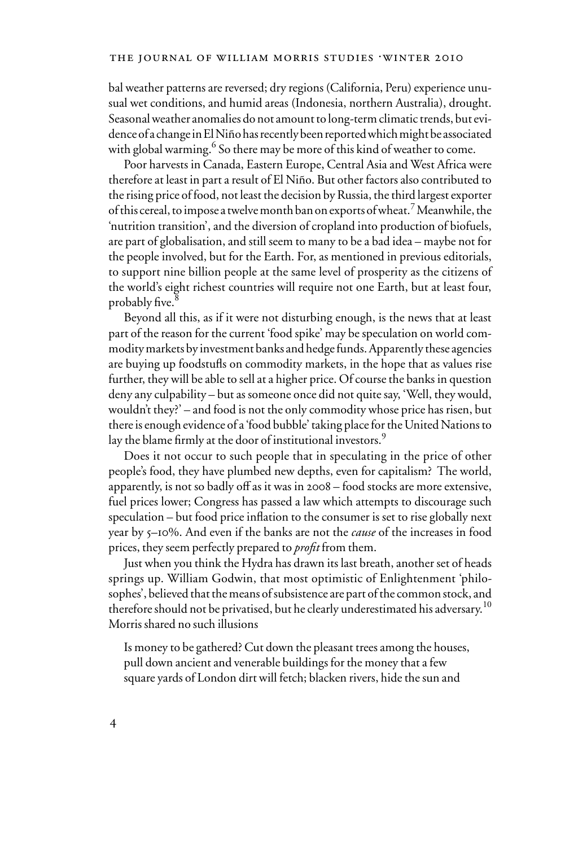bal weather patterns are reversed; dry regions (California, Peru) experience unusual wet conditions, and humid areas (Indonesia, northern Australia), drought. Seasonal weather anomalies do not amount to long-term climatic trends, but evidence of a change in El Niño has recently been reported which might be associated with global warming.<sup>6</sup> So there may be more of this kind of weather to come.

Poor harvests in Canada, Eastern Europe, Central Asia and West Africa were therefore at least in part a result of El Niño. But other factors also contributed to the rising price of food, not least the decision by Russia, the third largest exporter of this cereal, to impose a twelve month ban on exports of wheat.<sup>7</sup> Meanwhile, the 'nutrition transition', and the diversion of cropland into production of biofuels, are part of globalisation, and still seem to many to be a bad idea – maybe not for the people involved, but for the Earth. For, as mentioned in previous editorials, to support nine billion people at the same level of prosperity as the citizens of the world's eight richest countries will require not one Earth, but at least four, probably five.

Beyond all this, as if it were not disturbing enough, is the news that at least part of the reason for the current 'food spike' may be speculation on world commodity markets by investment banks and hedge funds. Apparently these agencies are buying up foodstufls on commodity markets, in the hope that as values rise further, they will be able to sell at a higher price. Of course the banks in question deny any culpability – but as someone once did not quite say, 'Well, they would, wouldn't they?' – and food is not the only commodity whose price has risen, but there is enough evidence of a 'food bubble' taking place for the United Nations to lay the blame firmly at the door of institutional investors. $^9$ 

Does it not occur to such people that in speculating in the price of other people's food, they have plumbed new depths, even for capitalism? The world, apparently, is not so badly off as it was in 2008 – food stocks are more extensive, fuel prices lower; Congress has passed a law which attempts to discourage such speculation – but food price inflation to the consumer is set to rise globally next year by 5–10%. And even if the banks are not the *cause* of the increases in food prices, they seem perfectly prepared to *profit* from them.

Just when you think the Hydra has drawn its last breath, another set of heads springs up. William Godwin, that most optimistic of Enlightenment 'philosophes', believed that the means of subsistence are part of the common stock, and therefore should not be privatised, but he clearly underestimated his adversary.<sup>10</sup> Morris shared no such illusions

Is money to be gathered? Cut down the pleasant trees among the houses, pull down ancient and venerable buildings for the money that a few square yards of London dirt will fetch; blacken rivers, hide the sun and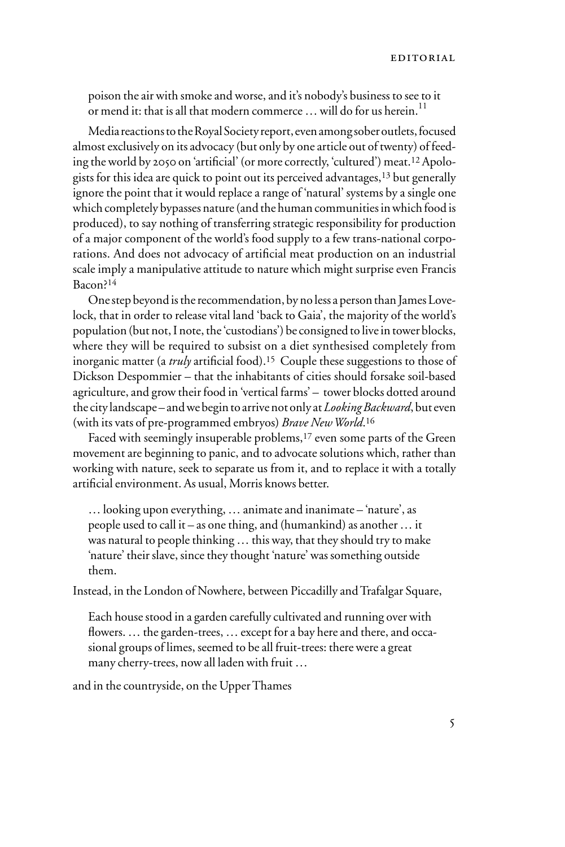poison the air with smoke and worse, and it's nobody's business to see to it or mend it: that is all that modern commerce  $\ldots$  will do for us herein.<sup>11</sup>

Media reactions to the Royal Society report, even among sober outlets, focused almost exclusively on its advocacy (but only by one article out of twenty) of feeding the world by 2050 on 'artificial' (or more correctly, 'cultured') meat.<sup>12</sup> Apologists for this idea are quick to point out its perceived advantages,13 but generally ignore the point that it would replace a range of 'natural' systems by a single one which completely bypasses nature (and the human communities in which food is produced), to say nothing of transferring strategic responsibility for production of a major component of the world's food supply to a few trans-national corporations. And does not advocacy of artificial meat production on an industrial scale imply a manipulative attitude to nature which might surprise even Francis Bacon?14

One step beyond is the recommendation, by no less a person than James Lovelock, that in order to release vital land 'back to Gaia', the majority of the world's population (but not, I note, the 'custodians') be consigned to live in tower blocks, where they will be required to subsist on a diet synthesised completely from inorganic matter (a *truly* artificial food).<sup>15</sup> Couple these suggestions to those of Dickson Despommier – that the inhabitants of cities should forsake soil-based agriculture, and grow their food in 'vertical farms' – tower blocks dotted around the city landscape – and we begin to arrive not only at *Looking Backward*, but even (with its vats of pre-programmed embryos) *Brave New World*.16

Faced with seemingly insuperable problems,<sup>17</sup> even some parts of the Green movement are beginning to panic, and to advocate solutions which, rather than working with nature, seek to separate us from it, and to replace it with a totally artificial environment. As usual, Morris knows better.

… looking upon everything, … animate and inanimate – 'nature', as people used to call it – as one thing, and (humankind) as another … it was natural to people thinking … this way, that they should try to make 'nature' their slave, since they thought 'nature' was something outside them.

Instead, in the London of Nowhere, between Piccadilly and Trafalgar Square,

Each house stood in a garden carefully cultivated and running over with flowers. ... the garden-trees, ... except for a bay here and there, and occasional groups of limes, seemed to be all fruit-trees: there were a great many cherry-trees, now all laden with fruit …

and in the countryside, on the Upper Thames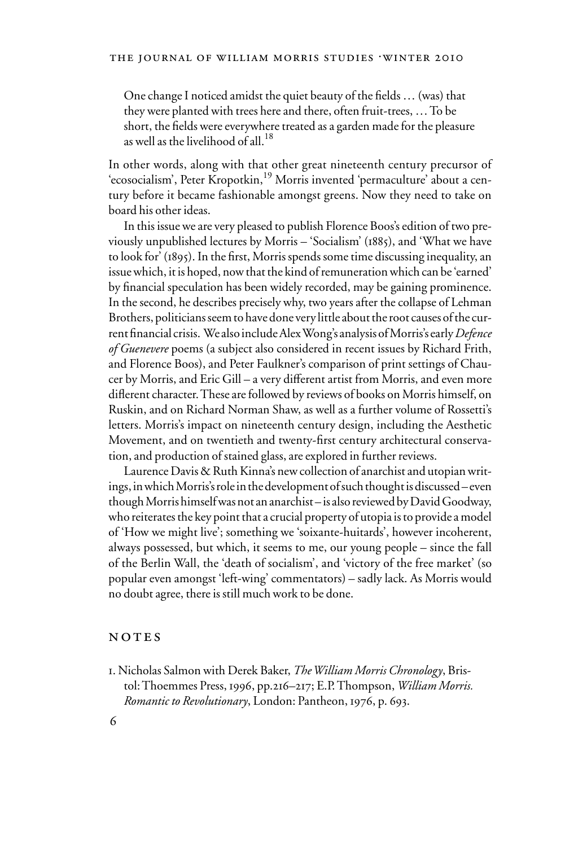One change I noticed amidst the quiet beauty of the fields  $\dots$  (was) that they were planted with trees here and there, often fruit-trees, … To be short, the fields were everywhere treated as a garden made for the pleasure as well as the livelihood of all  $^{18}$ 

In other words, along with that other great nineteenth century precursor of 'ecosocialism', Peter Kropotkin,<sup>19</sup> Morris invented 'permaculture' about a century before it became fashionable amongst greens. Now they need to take on board his other ideas.

In this issue we are very pleased to publish Florence Boos's edition of two previously unpublished lectures by Morris – 'Socialism' (1885), and 'What we have to look for' (1895). In the first, Morris spends some time discussing inequality, an issue which, it is hoped, now that the kind of remuneration which can be 'earned' by financial speculation has been widely recorded, may be gaining prominence. In the second, he describes precisely why, two years after the collapse of Lehman Brothers, politicians seem to have done very little about the root causes of the current Wnancial crisis. We also include Alex Wong's analysis of Morris's early *Defence of Guenevere* poems (a subject also considered in recent issues by Richard Frith, and Florence Boos), and Peter Faulkner's comparison of print settings of Chaucer by Morris, and Eric Gill – a very different artist from Morris, and even more diflerent character. These are followed by reviews of books on Morris himself, on Ruskin, and on Richard Norman Shaw, as well as a further volume of Rossetti's letters. Morris's impact on nineteenth century design, including the Aesthetic Movement, and on twentieth and twenty-first century architectural conservation, and production of stained glass, are explored in further reviews.

Laurence Davis & Ruth Kinna's new collection of anarchist and utopian writings, in which Morris's role in the development of such thought is discussed – even though Morris himself was not an anarchist – is also reviewed by David Goodway, who reiterates the key point that a crucial property of utopia is to provide a model of 'How we might live'; something we 'soixante-huitards', however incoherent, always possessed, but which, it seems to me, our young people – since the fall of the Berlin Wall, the 'death of socialism', and 'victory of the free market' (so popular even amongst 'left-wing' commentators) – sadly lack. As Morris would no doubt agree, there is still much work to be done.

## NOTES

1. Nicholas Salmon with Derek Baker, *The William Morris Chronology*, Bristol: Thoemmes Press, 1996, pp.216–217; E.P. Thompson, *William Morris. Romantic to Revolutionary*, London: Pantheon, 1976, p. 693.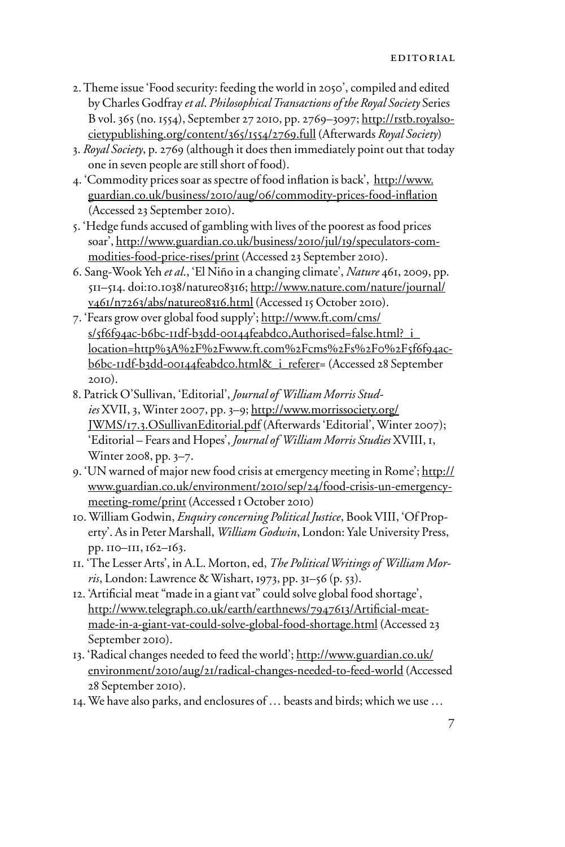- 2. Theme issue 'Food security: feeding the world in 2050', compiled and edited by Charles Godfray *et al*. *Philosophical Transactions of the Royal Society* Series B vol. 365 (no. 1554), September 27 2010, pp. 2769–3097; http://rstb.royalsocietypublishing.org/content/365/1554/2769.full (Afterwards *Royal Society*)
- 3. *Royal Society*, p. 2769 (although it does then immediately point out that today one in seven people are still short of food).
- 4. 'Commodity prices soar as spectre of food inflation is back', http://www. guardian.co.uk/business/2010/aug/06/commodity-prices-food-inflation (Accessed 23 September 2010).
- 5. 'Hedge funds accused of gambling with lives of the poorest as food prices soar', http://www.guardian.co.uk/business/2010/jul/19/speculators-commodities-food-price-rises/print (Accessed 23 September 2010).
- 6. Sang-Wook Yeh *et al*., 'El Niño in a changing climate', *Nature* 461, 2009, pp. 511–514. doi:10.1038/nature08316; http://www.nature.com/nature/journal/ v461/n7263/abs/nature08316.html (Accessed 15 October 2010).
- 7. 'Fears grow over global food supply'; http://www.ft.com/cms/ s/5f6f94ac-b6bc-11df-b3dd-00144feabdc0,Authorised=false.html?\_i location=http%3A%2F%2Fwww.ft.com%2Fcms%2Fs%2F0%2F5f6f94acb6bc-11df-b3dd-00144feabdc0.html&\_i\_referer= (Accessed 28 September 2010).
- 8. Patrick O'Sullivan, 'Editorial', *Journal of William Morris Studies* XVII, 3, Winter 2007, pp. 3–9; http://www.morrissociety.org/ JWMS/17.3.OSullivanEditorial.pdf (Afterwards 'Editorial', Winter 2007); 'Editorial – Fears and Hopes', *Journal of William Morris Studies* XVIII, 1, Winter 2008, pp. 3–7.
- 9. 'UN warned of major new food crisis at emergency meeting in Rome'; http:// www.guardian.co.uk/environment/2010/sep/24/food-crisis-un-emergencymeeting-rome/print (Accessed 1 October 2010)
- 10. William Godwin, *Enquiry concerning Political Justice*, Book VIII, 'Of Property'. As in Peter Marshall, *William Godwin*, London: Yale University Press, pp. 110–111, 162–163.
- 11. 'The Lesser Arts', in A.L. Morton, ed, *The Political Writings of William Morris*, London: Lawrence & Wishart, 1973, pp. 31–56 (p. 53).
- 12. 'Artificial meat "made in a giant vat" could solve global food shortage', http://www.telegraph.co.uk/earth/earthnews/7947613/Artificial-meatmade-in-a-giant-vat-could-solve-global-food-shortage.html (Accessed 23 September 2010).
- 13. 'Radical changes needed to feed the world'; http://www.guardian.co.uk/ environment/2010/aug/21/radical-changes-needed-to-feed-world (Accessed 28 September 2010).
- 14. We have also parks, and enclosures of … beasts and birds; which we use …